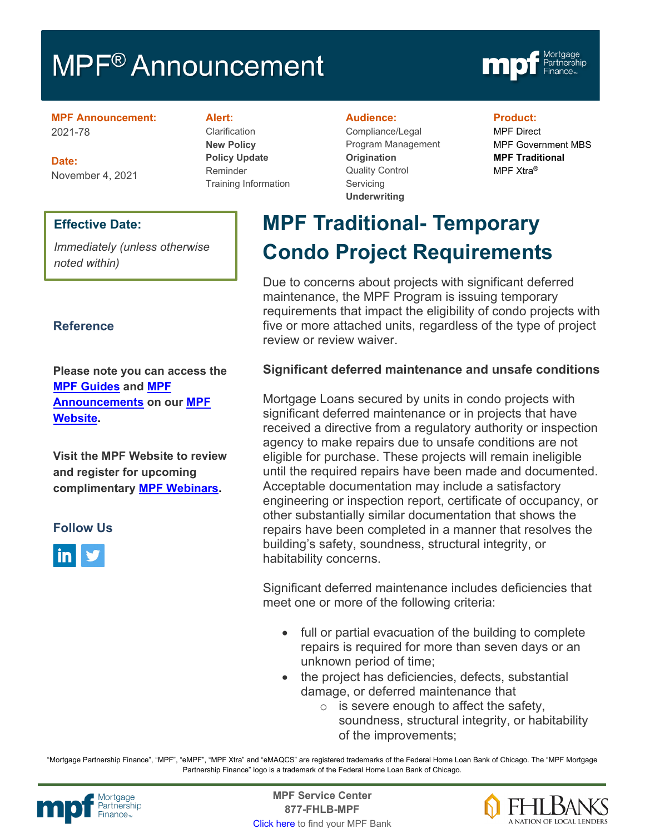# MPF<sup>®</sup> Announcement



**MPF Announcement:** 2021-78

**Date:** November 4, 2021

### **Effective Date:**

*Immediately (unless otherwise noted within)*

### **Reference**

**Please note you can access the [MPF Guides](https://fhlbmpf.com/mpf-guides/guides) and [MPF](https://fhlbmpf.com/mpf-guides/announcements)  [Announcements](https://fhlbmpf.com/mpf-guides/announcements) on our [MPF](https://fhlbmpf.com/)  [Website.](https://fhlbmpf.com/)** 

**Visit the MPF Website to review and register for upcoming complimentary [MPF Webinars.](https://www.fhlbmpf.com/education/upcoming-webinars)**

### **Follow Us**



**Alert:**

Clarification **New Policy Policy Update** Reminder Training Information

#### **Audience:**

Compliance/Legal Program Management **Origination**  Quality Control **Servicing Underwriting**

### **Product:**

MPF Direct MPF Government MBS **MPF Traditional** MPF Xtra®

# **MPF Traditional- Temporary Condo Project Requirements**

Due to concerns about projects with significant deferred maintenance, the MPF Program is issuing temporary requirements that impact the eligibility of condo projects with five or more attached units, regardless of the type of project review or review waiver.

## **Significant deferred maintenance and unsafe conditions**

Mortgage Loans secured by units in condo projects with significant deferred maintenance or in projects that have received a directive from a regulatory authority or inspection agency to make repairs due to unsafe conditions are not eligible for purchase. These projects will remain ineligible until the required repairs have been made and documented. Acceptable documentation may include a satisfactory engineering or inspection report, certificate of occupancy, or other substantially similar documentation that shows the repairs have been completed in a manner that resolves the building's safety, soundness, structural integrity, or habitability concerns.

Significant deferred maintenance includes deficiencies that meet one or more of the following criteria:

- full or partial evacuation of the building to complete repairs is required for more than seven days or an unknown period of time;
- the project has deficiencies, defects, substantial damage, or deferred maintenance that
	- $\circ$  is severe enough to affect the safety, soundness, structural integrity, or habitability of the improvements;

"Mortgage Partnership Finance", "MPF", "eMPF", "MPF Xtra" and "eMAQCS" are registered trademarks of the Federal Home Loan Bank of Chicago. The "MPF Mortgage Partnership Finance" logo is a trademark of the Federal Home Loan Bank of Chicago.



Mortgage **Center Service Center**<br>Partnership **Canadian Center Service Center**<br> **Partnership CALL SANGE CANADIAN CENTER SERVICE PROPERTY 877-FHLB-MPF** [Click here](https://www.fhlbmpf.com/fhlbanks/fhlbanks) to find your MPF Bank

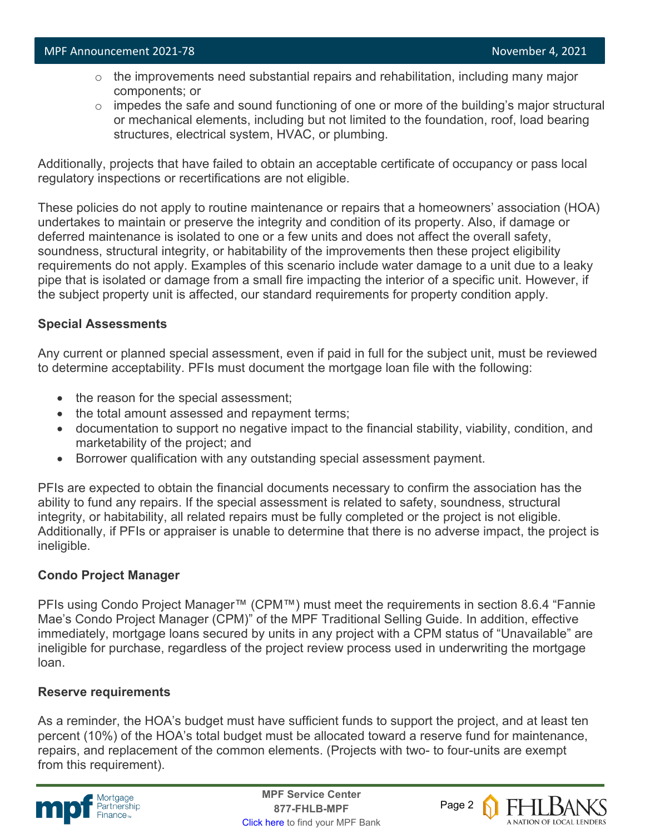- $\circ$  the improvements need substantial repairs and rehabilitation, including many major components; or
- $\circ$  impedes the safe and sound functioning of one or more of the building's major structural or mechanical elements, including but not limited to the foundation, roof, load bearing structures, electrical system, HVAC, or plumbing.

Additionally, projects that have failed to obtain an acceptable certificate of occupancy or pass local regulatory inspections or recertifications are not eligible.

These policies do not apply to routine maintenance or repairs that a homeowners' association (HOA) undertakes to maintain or preserve the integrity and condition of its property. Also, if damage or deferred maintenance is isolated to one or a few units and does not affect the overall safety, soundness, structural integrity, or habitability of the improvements then these project eligibility requirements do not apply. Examples of this scenario include water damage to a unit due to a leaky pipe that is isolated or damage from a small fire impacting the interior of a specific unit. However, if the subject property unit is affected, our standard requirements for property condition apply.

### **Special Assessments**

Any current or planned special assessment, even if paid in full for the subject unit, must be reviewed to determine acceptability. PFIs must document the mortgage loan file with the following:

- the reason for the special assessment;
- the total amount assessed and repayment terms;
- documentation to support no negative impact to the financial stability, viability, condition, and marketability of the project; and
- Borrower qualification with any outstanding special assessment payment.

PFIs are expected to obtain the financial documents necessary to confirm the association has the ability to fund any repairs. If the special assessment is related to safety, soundness, structural integrity, or habitability, all related repairs must be fully completed or the project is not eligible. Additionally, if PFIs or appraiser is unable to determine that there is no adverse impact, the project is ineligible.

### **Condo Project Manager**

PFIs using Condo Project Manager™ (CPM™) must meet the requirements in section 8.6.4 "Fannie Mae's Condo Project Manager (CPM)" of the MPF Traditional Selling Guide. In addition, effective immediately, mortgage loans secured by units in any project with a CPM status of "Unavailable" are ineligible for purchase, regardless of the project review process used in underwriting the mortgage loan.

### **Reserve requirements**

As a reminder, the HOA's budget must have sufficient funds to support the project, and at least ten percent (10%) of the HOA's total budget must be allocated toward a reserve fund for maintenance, repairs, and replacement of the common elements. (Projects with two- to four-units are exempt from this requirement).